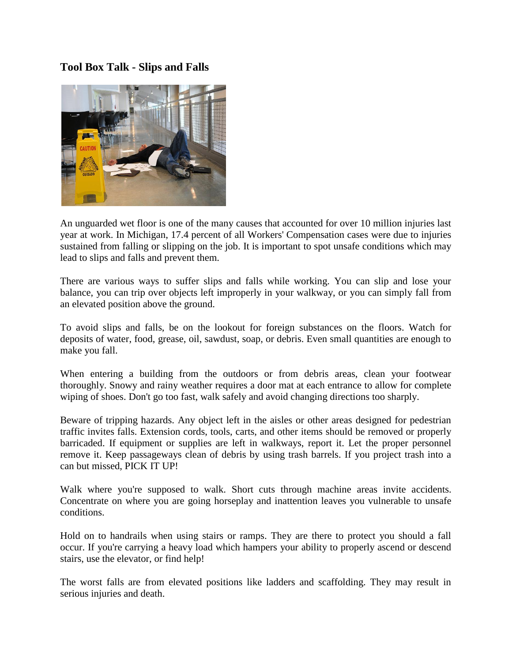## **Tool Box Talk - Slips and Falls**



An unguarded wet floor is one of the many causes that accounted for over 10 million injuries last year at work. In Michigan, 17.4 percent of all Workers' Compensation cases were due to injuries sustained from falling or slipping on the job. It is important to spot unsafe conditions which may lead to slips and falls and prevent them.

There are various ways to suffer slips and falls while working. You can slip and lose your balance, you can trip over objects left improperly in your walkway, or you can simply fall from an elevated position above the ground.

To avoid slips and falls, be on the lookout for foreign substances on the floors. Watch for deposits of water, food, grease, oil, sawdust, soap, or debris. Even small quantities are enough to make you fall.

When entering a building from the outdoors or from debris areas, clean your footwear thoroughly. Snowy and rainy weather requires a door mat at each entrance to allow for complete wiping of shoes. Don't go too fast, walk safely and avoid changing directions too sharply.

Beware of tripping hazards. Any object left in the aisles or other areas designed for pedestrian traffic invites falls. Extension cords, tools, carts, and other items should be removed or properly barricaded. If equipment or supplies are left in walkways, report it. Let the proper personnel remove it. Keep passageways clean of debris by using trash barrels. If you project trash into a can but missed, PICK IT UP!

Walk where you're supposed to walk. Short cuts through machine areas invite accidents. Concentrate on where you are going horseplay and inattention leaves you vulnerable to unsafe conditions.

Hold on to handrails when using stairs or ramps. They are there to protect you should a fall occur. If you're carrying a heavy load which hampers your ability to properly ascend or descend stairs, use the elevator, or find help!

The worst falls are from elevated positions like ladders and scaffolding. They may result in serious injuries and death.